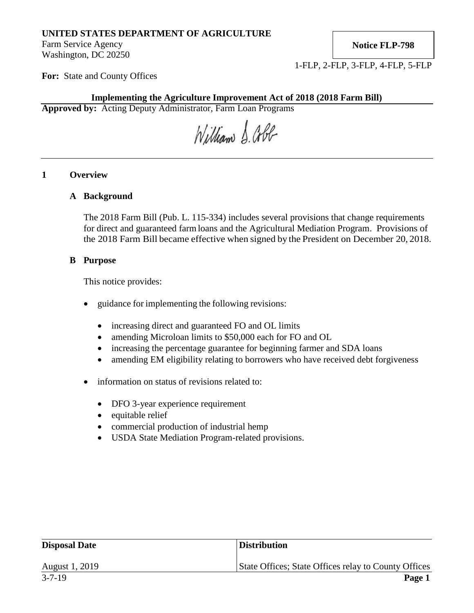# **UNITED STATES DEPARTMENT OF AGRICULTURE**

Farm Service Agency Washington, DC 20250 **Notice FLP-798**

1-FLP, 2-FLP, 3-FLP, 4-FLP, 5-FLP

**For:** State and County Offices

### **Implementing the Agriculture Improvement Act of 2018 (2018 Farm Bill)**

**Approved by:** Acting Deputy Administrator, Farm Loan Programs

William S. Cobb

## **1 Overview**

### **A Background**

The 2018 Farm Bill (Pub. L. 115-334) includes several provisions that change requirements for direct and guaranteed farm loans and the Agricultural Mediation Program. Provisions of the 2018 Farm Bill became effective when signed by the President on December 20, 2018.

#### **B Purpose**

This notice provides:

- guidance for implementing the following revisions:
	- increasing direct and guaranteed FO and OL limits
	- amending Microloan limits to \$50,000 each for FO and OL
	- increasing the percentage guarantee for beginning farmer and SDA loans
	- amending EM eligibility relating to borrowers who have received debt forgiveness
- information on status of revisions related to:
	- DFO 3-year experience requirement
	- equitable relief
	- commercial production of industrial hemp
	- USDA State Mediation Program-related provisions.

| <b>Disposal Date</b> | <b>Distribution</b>                                  |
|----------------------|------------------------------------------------------|
| August 1, 2019       | State Offices; State Offices relay to County Offices |
| $3 - 7 - 19$         | Page 1                                               |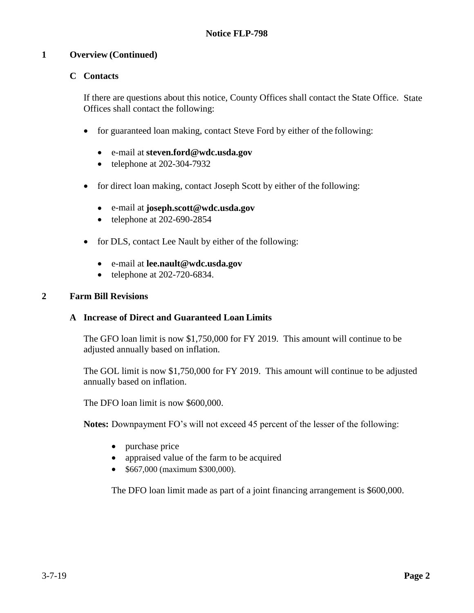## **1 Overview (Continued)**

## **C Contacts**

If there are questions about this notice, County Offices shall contact the State Office. State Offices shall contact the following:

- for guaranteed loan making, contact Steve Ford by either of the following:
	- e-mail at **[steven.ford@wdc.usda.gov](mailto:steven.ford@wdc.usda.gov)**
	- telephone at 202-304-7932
- for direct loan making, contact Joseph Scott by either of the following:
	- e-mail at **[joseph.scott@wdc.usda.gov](mailto:joseph.scott@wdc.usda.gov)**
	- telephone at 202-690-2854
- for DLS, contact Lee Nault by either of the following:
	- e-mail at **[lee.nault@wdc.usda.gov](mailto:lee.nault@wdc.usda.gov)**
	- telephone at 202-720-6834.

### **2 Farm Bill Revisions**

#### **A Increase of Direct and Guaranteed Loan Limits**

The GFO loan limit is now \$1,750,000 for FY 2019. This amount will continue to be adjusted annually based on inflation.

The GOL limit is now \$1,750,000 for FY 2019. This amount will continue to be adjusted annually based on inflation.

The DFO loan limit is now \$600,000.

**Notes:** Downpayment FO's will not exceed 45 percent of the lesser of the following:

- purchase price
- appraised value of the farm to be acquired
- \$667,000 (maximum \$300,000).

The DFO loan limit made as part of a joint financing arrangement is \$600,000.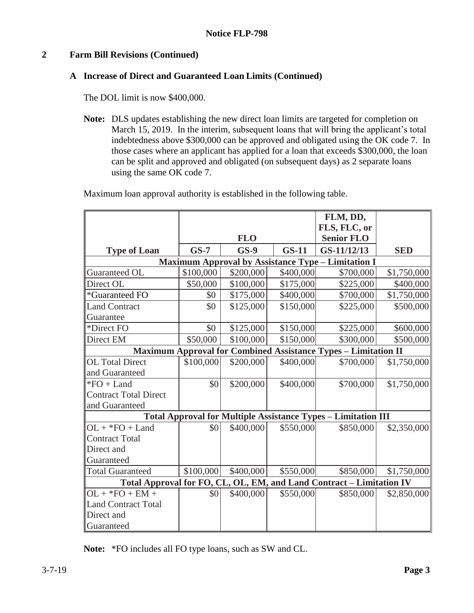# **2 Farm Bill Revisions (Continued)**

## **A Increase of Direct and Guaranteed Loan Limits (Continued)**

The DOL limit is now \$400,000.

**Note:** DLS updates establishing the new direct loan limits are targeted for completion on March 15, 2019. In the interim, subsequent loans that will bring the applicant's total indebtedness above \$300,000 can be approved and obligated using the OK code 7. In those cases where an applicant has applied for a loan that exceeds \$300,000, the loan can be split and approved and obligated (on subsequent days) as 2 separate loans using the same OK code 7.

Maximum loan approval authority is established in the following table.

|                                                                       |           |            |           | FLM, DD,<br>FLS, FLC, or |             |  |  |
|-----------------------------------------------------------------------|-----------|------------|-----------|--------------------------|-------------|--|--|
|                                                                       |           | <b>FLO</b> |           | <b>Senior FLO</b>        |             |  |  |
| <b>Type of Loan</b>                                                   | $GS-7$    | $GS-9$     | $GS-11$   | GS-11/12/13              | <b>SED</b>  |  |  |
| <b>Maximum Approval by Assistance Type - Limitation I</b>             |           |            |           |                          |             |  |  |
| Guaranteed OL                                                         | \$100,000 | \$200,000  | \$400,000 | \$700,000                | \$1,750,000 |  |  |
| Direct OL                                                             | \$50,000  | \$100,000  | \$175,000 | \$225,000                | \$400,000   |  |  |
| *Guaranteed FO                                                        | \$0       | \$175,000  | \$400,000 | \$700,000                | \$1,750,000 |  |  |
| <b>Land Contract</b>                                                  | \$0       | \$125,000  | \$150,000 | \$225,000                | \$500,000   |  |  |
| Guarantee                                                             |           |            |           |                          |             |  |  |
| *Direct FO                                                            | \$0       | \$125,000  | \$150,000 | \$225,000                | \$600,000   |  |  |
| Direct EM                                                             | \$50,000  | \$100,000  | \$150,000 | \$300,000                | \$500,000   |  |  |
| <b>Maximum Approval for Combined Assistance Types - Limitation II</b> |           |            |           |                          |             |  |  |
| <b>OL</b> Total Direct                                                | \$100,000 | \$200,000  | \$400,000 | \$700,000                | \$1,750,000 |  |  |
| and Guaranteed                                                        |           |            |           |                          |             |  |  |
| $*FO + Land$                                                          | \$0       | \$200,000  | \$400,000 | \$700,000                | \$1,750,000 |  |  |
| <b>Contract Total Direct</b>                                          |           |            |           |                          |             |  |  |
| and Guaranteed                                                        |           |            |           |                          |             |  |  |
| <b>Total Approval for Multiple Assistance Types - Limitation III</b>  |           |            |           |                          |             |  |  |
| $OL + *FO + Land$                                                     | \$0       | \$400,000  | \$550,000 | \$850,000                | \$2,350,000 |  |  |
| <b>Contract Total</b>                                                 |           |            |           |                          |             |  |  |
| Direct and                                                            |           |            |           |                          |             |  |  |
| Guaranteed                                                            |           |            |           |                          |             |  |  |
| <b>Total Guaranteed</b>                                               | \$100,000 | \$400,000  | \$550,000 | \$850,000                | \$1,750,000 |  |  |
| Total Approval for FO, CL, OL, EM, and Land Contract - Limitation IV  |           |            |           |                          |             |  |  |
| $OL + *FO + EM +$                                                     | \$0       | \$400,000  | \$550,000 | \$850,000                | \$2,850,000 |  |  |
| <b>Land Contract Total</b>                                            |           |            |           |                          |             |  |  |
| Direct and                                                            |           |            |           |                          |             |  |  |
| Guaranteed                                                            |           |            |           |                          |             |  |  |

**Note:** \*FO includes all FO type loans, such as SW and CL.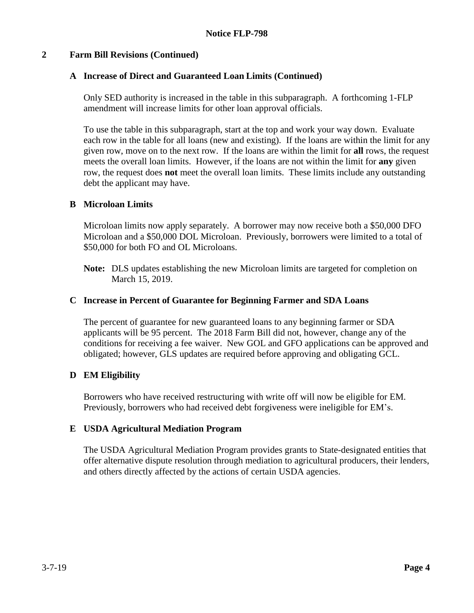## **2 Farm Bill Revisions (Continued)**

### **A Increase of Direct and Guaranteed Loan Limits (Continued)**

Only SED authority is increased in the table in this subparagraph. A forthcoming 1-FLP amendment will increase limits for other loan approval officials.

To use the table in this subparagraph, start at the top and work your way down. Evaluate each row in the table for all loans (new and existing). If the loans are within the limit for any given row, move on to the next row. If the loans are within the limit for **all** rows, the request meets the overall loan limits. However, if the loans are not within the limit for **any** given row, the request does **not** meet the overall loan limits. These limits include any outstanding debt the applicant may have.

#### **B Microloan Limits**

Microloan limits now apply separately. A borrower may now receive both a \$50,000 DFO Microloan and a \$50,000 DOL Microloan. Previously, borrowers were limited to a total of \$50,000 for both FO and OL Microloans.

**Note:** DLS updates establishing the new Microloan limits are targeted for completion on March 15, 2019.

#### **C Increase in Percent of Guarantee for Beginning Farmer and SDA Loans**

The percent of guarantee for new guaranteed loans to any beginning farmer or SDA applicants will be 95 percent. The 2018 Farm Bill did not, however, change any of the conditions for receiving a fee waiver. New GOL and GFO applications can be approved and obligated; however, GLS updates are required before approving and obligating GCL.

## **D EM Eligibility**

Borrowers who have received restructuring with write off will now be eligible for EM. Previously, borrowers who had received debt forgiveness were ineligible for EM's.

#### **E USDA Agricultural Mediation Program**

The USDA Agricultural Mediation Program provides grants to State-designated entities that offer alternative dispute resolution through mediation to agricultural producers, their lenders, and others directly affected by the actions of certain USDA agencies.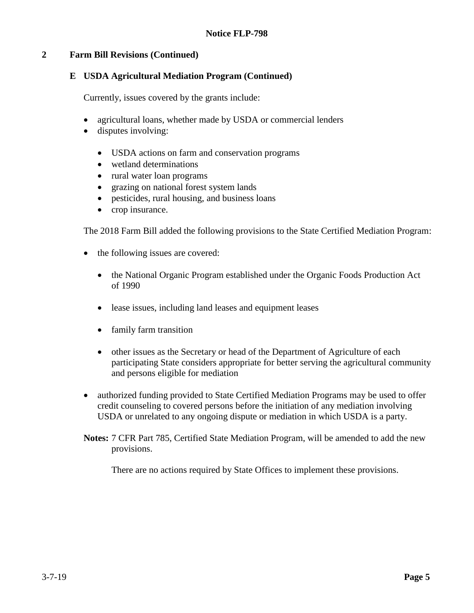## **2 Farm Bill Revisions (Continued)**

### **E USDA Agricultural Mediation Program (Continued)**

Currently, issues covered by the grants include:

- agricultural loans, whether made by USDA or commercial lenders
- disputes involving:
	- USDA actions on farm and conservation programs
	- wetland determinations
	- rural water loan programs
	- grazing on national forest system lands
	- pesticides, rural housing, and business loans
	- crop insurance.

The 2018 Farm Bill added the following provisions to the State Certified Mediation Program:

- the following issues are covered:
	- the National Organic Program established under the Organic Foods Production Act of 1990
	- lease issues, including land leases and equipment leases
	- family farm transition
	- other issues as the Secretary or head of the Department of Agriculture of each participating State considers appropriate for better serving the agricultural community and persons eligible for mediation
- authorized funding provided to State Certified Mediation Programs may be used to offer credit counseling to covered persons before the initiation of any mediation involving USDA or unrelated to any ongoing dispute or mediation in which USDA is a party.
- **Notes:** 7 CFR Part 785, Certified State Mediation Program, will be amended to add the new provisions.

There are no actions required by State Offices to implement these provisions.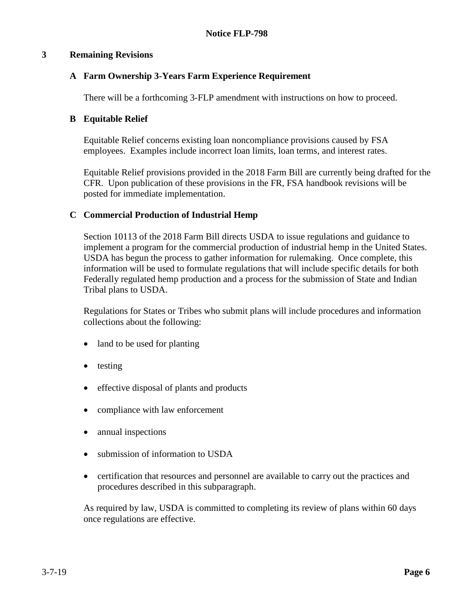### **3 Remaining Revisions**

## **A Farm Ownership 3-Years Farm Experience Requirement**

There will be a forthcoming 3-FLP amendment with instructions on how to proceed.

### **B Equitable Relief**

Equitable Relief concerns existing loan noncompliance provisions caused by FSA employees. Examples include incorrect loan limits, loan terms, and interest rates.

Equitable Relief provisions provided in the 2018 Farm Bill are currently being drafted for the CFR. Upon publication of these provisions in the FR, FSA handbook revisions will be posted for immediate implementation.

### **C Commercial Production of Industrial Hemp**

Section 10113 of the 2018 Farm Bill directs USDA to issue regulations and guidance to implement a program for the commercial production of industrial hemp in the United States. USDA has begun the process to gather information for rulemaking. Once complete, this information will be used to formulate regulations that will include specific details for both Federally regulated hemp production and a process for the submission of State and Indian Tribal plans to USDA.

Regulations for States or Tribes who submit plans will include procedures and information collections about the following:

- land to be used for planting
- testing
- effective disposal of plants and products
- compliance with law enforcement
- annual inspections
- submission of information to USDA
- certification that resources and personnel are available to carry out the practices and procedures described in this subparagraph.

As required by law, USDA is committed to completing its review of plans within 60 days once regulations are effective.